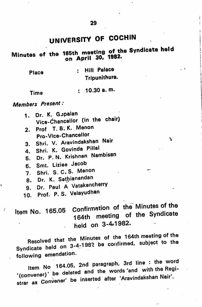# UNIVERSITY OF COCHIN

of the Syndicate held  $\frac{1}{20}$  on April 30.

| Place | : Hill Palace |
|-------|---------------|
|       | Tripunithura. |

; 10.30 a.m. Tima

Members Present:

 $\sqrt{ }$ 

- 1. Dr. K. Gopalan Vice-Chancallor (in the chair)
- 2. Prof. T. B. K. Menon Pro-VIce-Chancellor
- 3. Shri. V. Aravindakshan Nair
- 4. Shri. K. Govinda Pillai
- 6. Dr. P. N. Krishnan Nambisan
- 6. Smt. Liziee Jacob
- 7. Shri. S. C. S. Menon
- 8. Dr. K. Sathianandan
- 9. Dr. Paul A Vatakencherry
- 10. Prof. P. S. Velayudhan

of the Minutes of the Item No. 165.05 Commission of the Syndicate 164th meeting of the Syndicate held on 3-4^1982.

●b

 $\mathbf{A}$ 

Resolved that the Minutes of the 164th meeting of the Syndicate held on 3-4-1982 be confirmed, subject to the following emendation.

Item  $\mathsf{``convener)}\ \mathsf{``}$ (Somener, Onvener' be inserted after 'Aravindakshan Nair. No 164.05, 2nd paragraph, 3rd line : the word be deleted and the words and with the region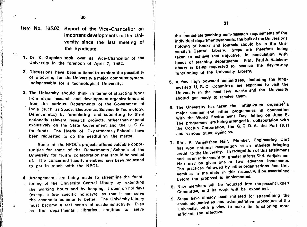Item No. 165.02 Report of the Vice-Chancellor on important developments in the Uni versity since the last meeting of the Syndicate.

1. Dr. K. Gopalan took over as Vice-Chancellor of the University in the forenoon of April 7, 1982.

 $f(x)$ 

■!

- 2. Discussions have been initiated to explore the possibility of p'ocuring for the University a major computer system, indispensable for a technological University.
- 3. The University should think in terms of attracting funds from major research and development organizations and from the various Departments of the Government of India (such as Space, Electronics, Science & Technology, Defence etc.) by formulating and submitting to them nationally relevant research projects, rather than depend exclusively on the State Government and the U. G. C. for funds. The Heads of Departments / Schools have been requested to do the needful 'in the matter.

Some of the NPOL's projects offered valuable oppor tunities for some of the Departments / Schools of the University for fruitful collaboration that should be availed of. The concerned faculty members have been requested to get in touch with the NPOL.

i

4. Arrangements are being made to streamline the functioning of the University Central Library by extending the working hours and by keeping it open on holidays (except a few specific holidays) so that it can serve the academic community better, The University Library must become a real centre of academic activity. Even as the departmental libraries continue to serve the immediate teaching-com-resoarch requirements of the individual departments/schools, the bulk of the University's holding of books and journals should be in the Uni-Steps are therefore being holding of taken to achieve that objective, in consulation with taken to achieve that objective, in consolation to the consolation with the consolation with the constant the consolation with the constant of the constant of the constant of the constant of the constant of the constant of Prof. Paul A. Vatakenoversee the day-to-day heads of teaching departments, cherry is being requested to functioning of the University Library.

- 6. A few high powered committees, including the longawaited U. G. C. Committee are expected to visit the University in the next few weeks and the University should got ready to receive them.
- $^{\circ}$ 6. The University has taken the initiative to our propertion major seminar and other programmes in connection<br>with the World Environment Day falling on June 5. The programme are being arranged in collaboration with The programme are being arranged in  $\alpha$  the Port Trust the Cochin Corporation, the G. C. D. A. the Port and various other agencies.
- 7. Shri. P. Varijakshan Nair. Plumber, Engineering Unit has won national recognition as an athelete bringing has won national recognition of the attainment credit to the University. In recognition of the attainment and as an inducement to greater efforts Shri. Varijakshan Nair may be given one or two advance increments, The practices followed by other organizations and Uni-The practices followed by Striet Sigmmann.<br>versities in the state in this respect will be ascertained versities in the state In before the proposal is implemented.
- 8. New members will be inducted into the present Expert<br>8. New members will be all the expedited Committee, and its work will be expedited,
- 9. Steps have already been initiated for streamlining the 9. Steps have alleady been interest to procedures of the academic activities and administrative procedures of the University, with a view to make its functioning more efficient and effective.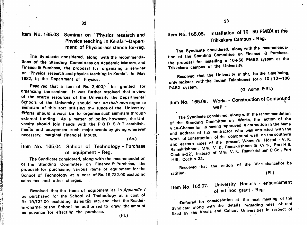Item No. 165.03 Seminar on "Physics research and Item No. 165.05. Physics teaching in Kerala"-Department of Physics-assistance for-reg.

**t** 

The Syndicate considered, along with the recommenda tions of the Standing Committees on Academic Matters, and Finance & Purchase, the proposal fcr organizing a seminar on 'Physics research and physics teaching in Kerala', in May 1982, in the Department of Physics.

Resolved that a sum of Rs. 3,400/- bo granted for organizing the seminar. It was further resolved that in view (G. Admn. B El.) of the scarce resources of the University the Departments*!*<br>Schools of the University should not *on their own* organise the Mo. 165.06. Works - Construction of Compound Schools of the University should not on their own organise seminars of this sort utilising the funds of the University. Ffforts should always be to organise such seminars through external funding. As a matter of policy however, the Uni versity should join hands with the R & D  $S$  & T establishments and co-sponsor such major events by giving wherever necessary, marginal financial inputs.

#### (Ac.)

I

### Item No. 165.04 School of Technology - Purchase of equipment - Reg.

The Syndicate considered, along with the recommendation of the Standing Committee on Finance & Purchase, the proposal for purchasing various items of equipment for the School of Technology at a cost of Rs. 19,722.00 excluding sales tax and other charges.

Resolved that the items of equipment as in Appendix / be purchased for the School of Technology at a cost of Rs. 19,722:00 excluding Sales tax etc, and that the Readerin-charge of the School be authorised to draw the amount as advance for effecting the purchase. (PI .)

## Item No. 165.05. Installation of 10 50 PMBX at the Trikkakara Campus - Reg.

The Syndicate considered, along with the recognition of Purchase. of the Standing Committee on Finance G Puchase, the proposal for installing a  $10+80$  PMBX system at  $\frac{1}{2}$  she liniversity. Trikkakara campus of the University. tion

Resolved that the only register with the Indian Telephones for a 10+10+100 PABX system. Resolved that the University might, for the time being,

# $wall -$

The Syndicate considered, along with the recommendation of the Standing Committee on Works, correction in the name Vice-Chancellor in having approved a correction in the name and address of the contractor who was entrusted with the of the compound wall on the southern work of construction of the compound men's Hostel - V.K. Ramakrishnan, M/s. V K. Ramakrishnan & Com., Port Hill, Ramakrishnan, Wils. V. W. K. Ramakrishnan & Co., Port<br>Cochin-22', instead of M/s. V. K. Ramakrishnan & Co., Port The Syndicate and address of tha Hill, Cochin-22.

of the Vice-chancellor be Resolved that the action ratified. (PI.)

Item No. 165.07. University Hostels - enhancement of ad hoc grant - Reg-

consideration at the next meeting of the h the details regarding rates of rem Syndicate along with the Calicut Universities in respect of Deferred for fixed by the Nerala along wit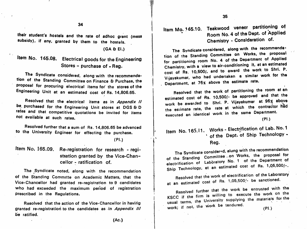34

their student's hostels and the rate of adhoc grant (mess subsidy), if any, granted by them to the hostels.

(GA & El.)

## Item No. 165.08. Electrical goods for the Engineering Stores - purchase of - Reg.

The Syndicate considered, along with the recommenda tion of the Standing Committee on Finance & Purchase, the proposal for procuring electrical items for' the stores of the Engineering Unit at an estimated cost of Rs. 14,806.66.

Resolved that the electrical items as in Appendix II be purchased for the Engineering Unit stores at DGS & D rates and that competitive quotations be invited for items not available at such rates.

Resolved further that a sum of Rs. 14,806.65 be advanced to the University Engineer for effecting the purchase.

(PI.)

Item No. 165.09. Re-registration for research - regi stration granted by the Vice-Chancellor - ratification of.

The Syndicate noted, along with the recommendation of the Standing Committe on Academic Matters, that the Vice-Chancellor had granted re-registration to 9 candidates who had exceeded the maximum period of registration prescribed in the Regulations.

Resolved that the action of the Vice-Chancellor in having granted re-registration to the candidates as in Appendix III be ratified.

Item Mo. 165.10. Teakwood veneer partitioning of Room No. 4 of the Dept, of Applied Chemistry - Consideration of.

The Syndicate considered, along with the recommendation of the Standing Committee on Works, the proposal for partitioning room No. 4 of the Department of Applied<br>Chemistry, with a view to air-conditioning it, at an estimated Chemistry, with a view to air-conditioning it. at an expected to shrill P. cost of Rs. 10,500/, and to award the work to Shri, P. Vijayakumar, who had undertaken a similar work for the<br>Townshous the estimate rate. Department, at 76« above the estimate rate.

Resolved that the work of partitioning the room estimated cost of Rs. 10,500/- be approved and that the work be awarded to Shri. P. Vijayakumer at 96% above the estimate rate, the rate at which the contractor had executed an identical work in the same Department. at an

(PI.)

### Item No. 165.11. Works - Electrification of Lab. No. 1 ' of the Dept, of Ship Technology - Reg.

The Syndicate consider«d, along with the recommendation Committee ....... works, the proposal for tory No. 1 of the Department of estimated cost of Rs. 1,Q5,500/-. The Syndicate of the Standing electrification Ship Technology, at an of Labora

Resolved that the work of electrification of the Laboratory Resolved that the work of electronical control. at an estimated cost of Rs. 1,05,500,

Resolved further that the community the work on the KSCC if the firm is willing to execute the work  $\sim$ usual terms, the University supplying the materials for the work; if not, the work be tendered. (PI.)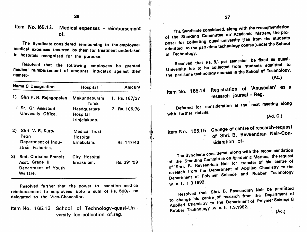$36$  37

Item No. 165.12. Medical expenses - reimbursement of.

The Syndicate considered reimbursing to the employees medical expenses incurred by them for treatment undertaken in hospitals recognised for the purpose.

Resolved that the following employees be granted medical reimbursement of amounts indicated against their names:-

| <b>Name &amp; Designation</b> |                                                    | Hospital                                       | Amcunt        | Registration of 'Anuseelan' as a<br>Item No. 165.14                                                                                                                       |
|-------------------------------|----------------------------------------------------|------------------------------------------------|---------------|---------------------------------------------------------------------------------------------------------------------------------------------------------------------------|
|                               | 1) Shri P. R. Rajagopalan                          | Mukundapuram                                   | 1. Rs. 187/37 | research journal - Reg.                                                                                                                                                   |
|                               | Sr. Gr. Assistant                                  | Taluk<br><b>Headquarters</b>                   | 2. Rs. 106/76 | Deferred for consideration at the next meeting along                                                                                                                      |
|                               | University Office.                                 | <b>Hospital</b><br>Irinjalakuda.               |               | with further details.<br>(Ad. C.)                                                                                                                                         |
|                               | 2) Shri V. R. Kutty<br>Peon<br>Department of Indu- | <b>Medical Trust</b><br>Hospital<br>Ernakulam. |               | Item No. 165.15 Change of centre of research-reques<br>of Shri. B. Raveendran Nair-Con-<br>sideration of-                                                                 |
|                               | strial Fisheries.                                  |                                                | Rs. 147/43    |                                                                                                                                                                           |
|                               | 3) Smt. Christina Francis                          | City Hospital                                  |               | The Syndicate considered, along with the recommendation<br>of the Standing Committee on Asademic Matters, the reques                                                      |
|                               | Asst. Grade II<br>Department of Youth<br>Welfare.  | Ernakulam.                                     | Rs. 391/99    | of Shri. B. Raveendran Nair for transfer of his centre o<br>research from the Department of Applied Chemistry to th<br>Department of Polymer Science and Rubber Technolog |

Resolved further that the power to sanction medica reimbursement to employees upto a sum of Rs. 500/- be delegated to the Vice-Chancellor.

Item No. 165.13 School of Technology-quasi-Unversity fee-collection of-reg.

The Syndicate considered, along with the reconstruction of the prothe standing Committee on Academic Matters, the proposal for collecting quasi-university tfee from the students of Technology.

Resolved that Rs. 8/- per semester be fixed as quasi-Resolved that Rs. 8/- per sements admitted to  $(Ac.)$ 

> The Syndicate considered, along with the recommendation of the Standing Committee on Asademic Matters, the request of Shri. B. Raveendran Nair for transfer of his centre of research from the Department of Applied Chemistry to the research science and Rubber Technology  $\uparrow$  Department w. e.f. 1.3.1982.

Resolved that Shri. B. Raveendran Nair be permitted Resolved that Strategie from the Department of to change his centre of focument of Polymer Science & Rubber Technology w. e. f. 1.3.1982. (Ac.)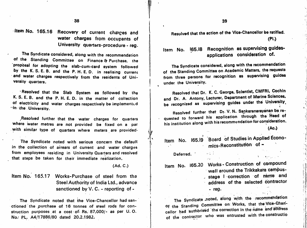-Item No. 165.16 Recovery of current charges and water charges from occupants of University quarters-procedure - reg.

The Syndicate considered, along with the recommendation of the Standing Committee on Finance & Purchase, the proposal for adopting the slab-cum-card system followed by the K. S. E. B. and the P. H. E. D. in realising current and water charges respectively from the residents of Uni-<br>versity quarters.

' Resolved that the Slab System as followed by the K. S. E, B. and the P. H. E. D. in the matter of collection of electricity and water charges respectively be implemented min the University.

^Resolved further that the water charges for quarters where water metres are not provided be fixed on a par with similar type of quarters where meters are provided.

The Syndicate noted with serious concern the default in the collection of arrears of current and water charges from employees residing in University Quarters and resolved that steps be taken for their immediate realization.

(Ad. C.)

Item No. 165.17 Works-Purchase of steel from the Steel Authority of India Ltd., advance sanctioned by V.C. - reporting of -

The Syndicate noted that the Vice-Chancellor had san ctioned the purchase of 16 tonnes of steel rods for construction purposes at a cost of Rs. 87,000/- as per U.O. No/ PL. A4/17886/80 dated 20.2.1982.

Resolved that the action of the Vice-Chancellor be ratified. (PI.)

Item No. 165.18 Recognition as supervising guides-<br>applications consideration of.

The Syndicate considered, along with the recommendation of the Standing Committee on Academic Matters, the requests<br>from three persons for recognition as supervising guides under the University.

Resolved that Dr. K. C. George. Scientist, CMFRl. Cochin and Dr. A. Antony, Lecturer, Department of Marine Sciences, pe recognized as supervising guides under the entriesting,

Resolved further that Dr. V. N. Sankaranarayanan be re-<br>quested to forward his application through the Head of quested to forward his application through his institution along with his recommendation for consideration.

(Ac.)

 $\cdot$  in .

I!

Item No. 165.19 Board of Studies in Applied Economics-Reconstitution of -

Deferred. :

Item No. 165.20 Works-Construction of compound wall around the Trikkakara campus-. stage I correction of name and address of the selected contractor

 $\bullet$  and the experimental properties of the experimental properties of  $\mathcal{P}^{\bullet}_{\mathcal{A}}$  and

 $-$  reg.

 $\alpha$  $\mathcal{O}(1)$ 

The Syndicate noted, along vith the recommendation Of the Standing Committee on Works, that the Vice-Chancellor had authorised the correction in the name and address of the contractor who was entrusted with the constructio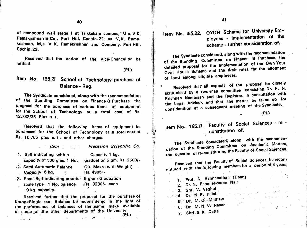of compound wall stage I at Trikkakara campus," M s. V K. Ramakrishnan & Co., Port Hill, Cochin-22, as V. K. Ramakrishnan, M/s. V. K. Ramakrishnan and Company, Port Hill, Cochin.22.

Resolved that the action of the Vice-Chancellor be ratified.

#### (PI.)

/;N I

Item No. 165.21 School of Technology-purchase of Balance - Reg.

The Syndicate considered, along with tho recommendation of the Standing Committee on Finance & Purchase, the proposal for the purchase of various items of equipment for the School of Technology at a total cost of Rs. 12,732/35 Plus s. t.

Resolved that the following items of equipment be purchased for the School of Technology at a total cost of Rs. 10,765 plus s. t., and other charges.

Item Precesion Scientific Co.

' I f".

1. Self indicating with a Capacity 1 kg. capacity of 500 gms. 1 No. graduation 5 gm. Rs. 2500/- 2. Semi Automatic Balance Giri Make (with Weight) Capacity 5 kg. Rs. 4985/-  $\mathcal{A}$ 

<sup>1</sup>3. Semi-Self indicating counter 5 gram Graduation scale type  $\sqrt{1}$  No. balance  $\sqrt{8}$ Rs. 3280/- each 10 kg. capacity

 $\mathcal{L}(\mathcal{L}^{\mathcal{L}}(\mathcal{L}^{\mathcal{L}}(\mathcal{L}^{\mathcal{L}}(\mathcal{L}^{\mathcal{L}}(\mathcal{L}^{\mathcal{L}}(\mathcal{L}^{\mathcal{L}}(\mathcal{L}^{\mathcal{L}}(\mathcal{L}^{\mathcal{L}}(\mathcal{L}^{\mathcal{L}}(\mathcal{L}^{\mathcal{L}}(\mathcal{L}^{\mathcal{L}}(\mathcal{L}^{\mathcal{L}}(\mathcal{L}^{\mathcal{L}}(\mathcal{L}^{\mathcal{L}}(\mathcal{L}^{\mathcal{L}}(\mathcal{L}^{\mathcal{L}}(\mathcal{L}$ 

Resolved further that the proposal for the purchase of Keroy'Single pan Balance be reconsidered in the light of the performance of balances of the same make available in some of the other departments of the University.  $(PI.)$ 

Item No. 165.22. OYOH Scheme for University Employees - implementation of the scheme - further consideration of.

The Syndicate considered, along with the recommendation The Syndicate of the Standing Committee on Finance B Purchase, the detailed proposal for the implementation of the allotment of land among eligible employees.

Resolved that all aspects of the proposal be closely<br>scrutinised by a two-man committee consisting Dr. P. N.<br>Krishnan Nambisan and the Registrar, in consultation with the Legal Advisor, and that the matter be taken up for consideration at a subsequent meeting of the Syndicate.

(PI.)

Item No. 165.13. Faculty of Social  $\frac{1}{2}$ .. constitution of. re -

along with the recommen-The Syndicate considered, along an Academic Matters dation of the Standing Committee on Academic Matters, dation of the Standing Scimm. Eaculty of Social Sciences. the question of re-constructing

Resolved that the Faculty of Social Sciences be reconstituted with the following members for a period of 4 years.

1. Prof. N. Ranganathan (Dean) 1. Prof. N. Ranganathan (Dean)<br>2. Dr. N. Parameswaran Nair 3. Shri. V. Vagnu  $\mathcal{L}_{\text{GUT}}$  , where  $\mathcal{L}_{\text{GUT}}$ , 4. Dr. N.P. 5. Dr. M. Oo Mathew ' Dr. M.N.V. Nayar 6. 7. Shri S. K. Datta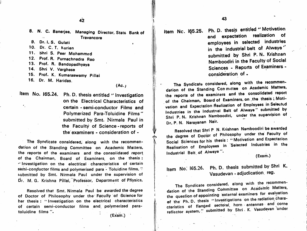and realization of the U.S. C. Banerjee, Managing Director, State Bank of Item NC. IQ5.25. Fill D. diesip Stutten<br>Internation of the Travancore of Item NC. IQ5.25. Fill D. diesip Stutten realization of the U.S. C. C. C. C. Travancore

- 9. Dr. I. S. Gulati
- 10. Dr. C. T. Kurien
- 11. Shri S. Peer Mohammed
- Prof. R. Purnachnadra Rao 12.
- Prof. R. Bandopadhyaya 13.
- 14*.* Shri V. Varghese
- 15. Prof. K. Kumaraswamy Pillai
- 16. Dr. M. Haridas.

 $(Ac.)$ 

II

i

Item No. 165.24. Ph. D. thesis entitled "Investigation on the Electrical Characteristics of certain - semi-conductor Films and Polymerized Para-Toluidine Films" submitted by Smt. Nirmala Paul in the Faculty of Science - reports of the examiners - consideration of -

The Syndicate considered, along with the recommendation of the Standing Committee on Academic Matters, the reports of the examiners and the consolidated report of the Chairman. Board of Examiners, on the thesis : "Investigation on the electrical characteristics of certain semi-conductor films and polymerised para - Toluidine films, " submitted by Smt. Nirmala Paul under the supervision of Dr. M. G. Krishna Pillai, Professor, Department of Physics,

Resolved that Smt. Nirmala Paul be awarded the degree of Doctor of Philosophy under the Faculty of Science for her thesis: "Investigation on the electrical characteristics of certain semi-conductor films and. polymerized paratoluidine films (Exami)

Item Nc. 165.25. Ph. D. thesis entitled "Motivation employees in selected industries in the industrial belt of Alwaye" submitted by Shri P. N. Krishnan Namboodiri in the Faculty of Social Sciences - Reports of Examiners consideration of .

The Syndicate considered, along with the recommendation of the Standing Conmittee on Academic Matters, the reports of the examiners and the consolidated report the reports of the examiners of the Chairman, Board of Examiners, on the thesis ; Motion vation and Expectation Realization of Employees in Selected by Industries in the Industrial Belt of Alwaye" submitted by Shri P. N. Krishnan Namboodiri, under the, supervision of Dr. P. N. Narayanan Nair.

Resolved that Shri P N. Krishnan Namboodiri be awarded<br>the degree of Doctor of Philosophy under the Faculty of the degree of Doctor of Philosophy under the Faculty of Social Sciences for his the Motivation and Expectation Realisation of Employees in Selected Industries in the Industrial Belt of Alwaye ".

(Exam.)

Item No.  $165.26$ . Ph. D. thesis submitted by Shirt K. Vasudevan - adjudication, reg.

The Syndicate considered, along with the recommen-<br>dation of the Standing Committee on Academic Matters, the question of appointing external examiners for evaluation. the question of appointing external external external external external external extension chara-<br>of the Ph. D. thesis "Investigations on the radiation characteristics of flanged section, here and securitary reflector system, submitted by Shirt III vasudevan under under under der under under under under der under under cteristics of flanged sectoral, horn antennas and corne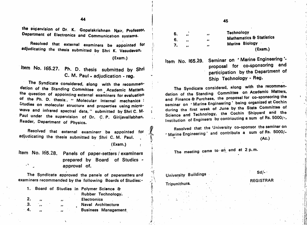44 **45** 45

the supervision of Or. K. Gopalakrishnan Keir, Professor, Department of Electronics and Communication systems.

Resolved that external examiners be appointed fof adjudicating the thesis submitted by Shri K. Vasudevan,

(Exam.)

Item No. 165.27. Ph. D. thesis submitted by Shri C. M. Paul - adjudication - reg.

The Syndicate considered, along with the recommen-**Sation of the Standing Committee on Academic Matters,** the question of appointing external examiners for evaluation of the Ph. D. thesis:. " Molecular internal mechanics : Utudies on molecular structure and properties using microwave and infrared spectral data," submitted by Shri C.M. . auf under the supervision of Dr. C.P. Girijavallabhan, Reader, Department of Physics.

Resolved that external examiners be appointed for **the presolved that the entition,**<br>Interview of Rs. 5000/- Resolved that external examiners be appointed for *Marine* Engineering and contribute a sum of Rs. 5000/adjudicating the thesis submitted by Shri C. M. Paul. (Exam.)

Item No. 165.28. Panels of paper-setters / examiners prepared by Board of Studies approval of.  $\mathcal{L}$ 

The Syndicate approved the panels of papersetters and examiners recommended by the following Boards of Studies:-

| 1.  |         |              | Board of Studies in Polymer Science & |
|-----|---------|--------------|---------------------------------------|
|     |         |              | Rubber Technology.                    |
| 2.  | ,,      | $\mathbf{z}$ | <b>Electronics</b>                    |
| .3. | $\cdot$ | $\bullet$    | Naval Architecture                    |
|     | ,,      |              | <b>Business Management</b>            |

**Technology Mathematics & Statistics** Marine Biology 5. *..* .. 6.  $\ldots$  ...  $\ldots$ (Exam.)

 $7<sub>1</sub>$ 

q.

I

 $\overline{1}$ 

Item No. 165.29. Seminar on ' Marine Engineering \* proposal for co-sponsoring and participation by the Department of Ship Technology - Reg.

The Syndicate considered, along with the recommendation of the Standing Committee on Academic Matters, and Finance & Purchase, the proposal for co-sponsoring the and Finance & Purchase, the proposarior to-oppinesing me<br>seminar on 'Marine Engineering' being organized at Cochin<br>seminar on 'Marine Luce hume by the State Committee of during the first week of June by the State Committee of Science and Technology, the Cochin Shipyard and the Institution of Engineers by contriouting a sum of Rs. 5000/-,

Resolved that the University co-sponsor the seminar on  $\mathbb{R}$  (Ac.)

The meeting came to an end at 2 p.m.

'(■ Sd/- University Buildings

Tripunithura.

V

:^i

it.

il Y

!/i

? 'Vi

#### REGISTRAR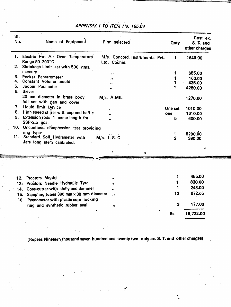| SI.<br>No. | Name of Equipment                                                          | Firm selected                                 |         | <b>Qnty</b>             | Cost ex.<br>S. T. and<br>other charges |
|------------|----------------------------------------------------------------------------|-----------------------------------------------|---------|-------------------------|----------------------------------------|
|            | $\mathbf{A}$<br>1. Electric Hot Air Oven Temperature<br>Range 50-200°C     | M/s. Concord Instruments Pvt.<br>Ltd. Cochin. |         | 1                       | 1640.00                                |
| 2.         | Shrinkage Limit set with 500 gms.                                          |                                               |         |                         |                                        |
|            | mercury                                                                    | $\bullet\bullet$                              |         |                         | 655.00                                 |
| 3.         | Pocket Penetrometer                                                        | ,,                                            |         |                         | 160.00                                 |
| 4.         | Constant Volume mould                                                      | ,,                                            |         |                         | 435.00                                 |
| 5.<br>6.   | Jodpur Parameter<br><b>Siever</b>                                          | ,,                                            |         |                         | 4280.00                                |
|            | 20 cm diameter in brass body<br>full set with pan and cover                | M/s. AIMIL                                    |         |                         | 1270.00                                |
|            | 7. Liquid limit Device                                                     | ,,                                            | One set |                         | 1010.00                                |
| 8.         | High speed stirrer with cup and baffle                                     | ,,                                            | one     |                         | 1610.00                                |
| 9.         | Extension rods 1 meter length for<br>SSP-2.5 nos.                          | ,,                                            |         | 5                       | 600.00                                 |
|            | 10. Unconfined compression test providing                                  |                                               |         |                         |                                        |
|            | ring type                                                                  |                                               |         |                         | 5290.00                                |
|            | 11. Standard Soil Hydrameter with<br>Jars long stem calibrated.            | M/s. I.S.C.                                   | 1       | $\overline{\mathbf{2}}$ | 390.00                                 |
|            |                                                                            | ۰<br>ø                                        |         |                         | G                                      |
|            |                                                                            |                                               |         |                         |                                        |
|            | Proctors Mould                                                             |                                               |         |                         | 455.00                                 |
|            |                                                                            | ,,                                            |         |                         | 830.00                                 |
|            | Proctors Needle Hydraulic Tyre<br>13.                                      | ,,                                            |         | 1                       | 248.00                                 |
| 14.        | Core-cutter with dolly and dammer                                          | $\bullet$                                     |         | 12                      | <b>672.00</b>                          |
|            | 15. Sampling tubes 300 mm x 38 mm diameter                                 | $\bullet$                                     |         |                         |                                        |
|            | 16. Pyenometer with plastic core locking<br>ring and synthetic rubber seal | ,,<br>$\ddot{\phantom{a}}$                    |         | 3                       | 177.00                                 |
|            |                                                                            |                                               | Rs.     |                         | 19,722.00                              |
|            |                                                                            |                                               |         |                         |                                        |

"! ~~

**APPENDIX I TO ITEM NºO. 165.04** 

Jj\_ ' :

(Rupees Nineteen thousand seven hundred and twenty two only ex. S. T. and other charges)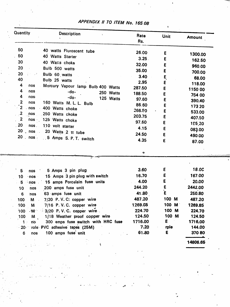| Quantity<br><b>Description</b>                                                                                                           | Rate<br>Rs. | <b>Unit</b>  | <b>Amount</b> |
|------------------------------------------------------------------------------------------------------------------------------------------|-------------|--------------|---------------|
| 50<br>40 watts Fluroscent tube                                                                                                           | 26.00       | E            |               |
| 50<br>40 Watts Starter                                                                                                                   | 3.25.       | Ε            | 1300.00       |
| 30<br>40 Watts choke                                                                                                                     | 32.00       | E            | 162.50        |
| 20<br>Bulb 500 watts                                                                                                                     | 35.00       | E            | 960.00        |
| 20<br>Bulb 60 watts<br>- 2                                                                                                               | 3.40        |              | 700.00        |
| 40<br>Bulb 25 watts                                                                                                                      | 2.95        | Ę            | 68.00         |
| $\overline{4}$<br>nos<br>Mercury Vapour lamp Bulb 400 Watts                                                                              | 287.50      | E            | 118.00        |
| 4<br>nos<br>$-do-$<br>250 Watts                                                                                                          | 188.50      | E<br>E       | 1150.00       |
| 4<br>nos.<br>$-do-$<br>125 Watts                                                                                                         | 97.60       | E            | 754 00        |
| $\overline{\mathbf{2}}$<br>nos<br>160 Watts M. L. L. Bulb                                                                                | 86.60       | E            | 390.40        |
| $\mathbf{r}^{\prime}$ 2<br>nos<br>400 Watts choke                                                                                        | 266.50      | E            | 17320         |
| $\ddot{\phantom{1}}$ 2<br>nos<br>250 Watts choke                                                                                         | 203.75      | E            | 533.00        |
| $\begin{array}{\begin{array}{\small \end{array}}$<br>nos 125 Watts choke                                                                 | 97.60       | E            | 407.50        |
| 20<br>nos and the property of the set of the set of the set of the set of the set of the set of the set of the set o<br>110 volt starter | 4.15        | E            | 195,20        |
| $20$ nos<br>20 Watts 2 tt tube                                                                                                           | 24.50       |              | 083.00        |
| 20<br>nos.<br>$\mathbb{R}^2$<br>5 Amps S. P. T. switch                                                                                   | 4.35        | E<br>E       | 490.00        |
|                                                                                                                                          | $\bullet$   |              | 87.00         |
|                                                                                                                                          |             |              |               |
| 5 Amps 3 pin plug<br>$\bf{5}$<br>nos                                                                                                     | 3.60        | E            | 18.0C         |
| 15 Amps 3 pin plug with switch<br>10<br>$-$ nos                                                                                          | 16.70       | E            | 167.00        |
| 15 amps Porcelain fuse units<br>$5^{\circ}$<br>nos                                                                                       | 4.00        | E            | 20.00         |
| 200 amps fuse unit<br>10<br>nos                                                                                                          | 244.20      | E            | 2442.00       |
| 63 amps fuse unit<br>$6\phantom{1}6$<br>nos                                                                                              | 41.80       | $\mathbf{E}$ | 250.80        |
| $M \sim$<br>$7/20$ P.V.C: copper wire<br>100                                                                                             | 487.20      | 100 M        | 487.20        |
| 7/16 P.V.C. copper wire<br>100<br><b>M</b>                                                                                               | 1269.85     | $100$ M      | 1269.85       |
| $-M = 3/20$ P.V.C. copper wire.<br>100                                                                                                   | 224.70      | 100 M        | 224.70        |
| 1/18 Weather proof copper wire<br>100<br>$M \sim$                                                                                        | 124.50      | 100 M        | 124.50        |
| 300 amps fuse switch with HRC fuse<br>nó<br>$\mathbf 1$                                                                                  | 1716.00     | E            | 1716.00       |
| role PVC adhesive tapes (25M)<br>$-20$ .                                                                                                 | 7.20        | rple         | 144.00        |
| 100 amps fuse unit<br>6<br>nos                                                                                                           | 61.80       | E.           | 37080         |
| š.<br>전 남자 나는 화사가                                                                                                                        |             |              | 14806.65      |

# appendix // TO ITEM No. 16508

 $\overline{\phantom{a}}$ 

I

 $\sim$   $\sim$  $\ddotsc$  Ä,